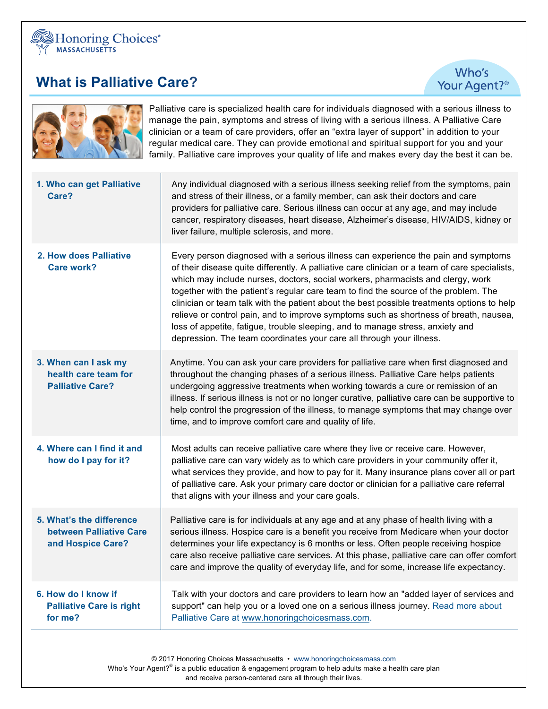

## **What is Palliative Care?**

Who's Your Agent?<sup>®</sup>



Palliative care is specialized health care for individuals diagnosed with a serious illness to manage the pain, symptoms and stress of living with a serious illness. A Palliative Care clinician or a team of care providers, offer an "extra layer of support" in addition to your regular medical care. They can provide emotional and spiritual support for you and your family. Palliative care improves your quality of life and makes every day the best it can be.

| 1. Who can get Palliative<br>Care?                                       | Any individual diagnosed with a serious illness seeking relief from the symptoms, pain<br>and stress of their illness, or a family member, can ask their doctors and care<br>providers for palliative care. Serious illness can occur at any age, and may include<br>cancer, respiratory diseases, heart disease, Alzheimer's disease, HIV/AIDS, kidney or<br>liver failure, multiple sclerosis, and more.                                                                                                                                                                                                                                                                                                       |
|--------------------------------------------------------------------------|------------------------------------------------------------------------------------------------------------------------------------------------------------------------------------------------------------------------------------------------------------------------------------------------------------------------------------------------------------------------------------------------------------------------------------------------------------------------------------------------------------------------------------------------------------------------------------------------------------------------------------------------------------------------------------------------------------------|
| 2. How does Palliative<br><b>Care work?</b>                              | Every person diagnosed with a serious illness can experience the pain and symptoms<br>of their disease quite differently. A palliative care clinician or a team of care specialists,<br>which may include nurses, doctors, social workers, pharmacists and clergy, work<br>together with the patient's regular care team to find the source of the problem. The<br>clinician or team talk with the patient about the best possible treatments options to help<br>relieve or control pain, and to improve symptoms such as shortness of breath, nausea,<br>loss of appetite, fatigue, trouble sleeping, and to manage stress, anxiety and<br>depression. The team coordinates your care all through your illness. |
| 3. When can I ask my<br>health care team for<br><b>Palliative Care?</b>  | Anytime. You can ask your care providers for palliative care when first diagnosed and<br>throughout the changing phases of a serious illness. Palliative Care helps patients<br>undergoing aggressive treatments when working towards a cure or remission of an<br>illness. If serious illness is not or no longer curative, palliative care can be supportive to<br>help control the progression of the illness, to manage symptoms that may change over<br>time, and to improve comfort care and quality of life.                                                                                                                                                                                              |
| 4. Where can I find it and<br>how do I pay for it?                       | Most adults can receive palliative care where they live or receive care. However,<br>palliative care can vary widely as to which care providers in your community offer it,<br>what services they provide, and how to pay for it. Many insurance plans cover all or part<br>of palliative care. Ask your primary care doctor or clinician for a palliative care referral<br>that aligns with your illness and your care goals.                                                                                                                                                                                                                                                                                   |
| 5. What's the difference<br>between Palliative Care<br>and Hospice Care? | Palliative care is for individuals at any age and at any phase of health living with a<br>serious illness. Hospice care is a benefit you receive from Medicare when your doctor<br>determines your life expectancy is 6 months or less. Often people receiving hospice<br>care also receive palliative care services. At this phase, palliative care can offer comfort<br>care and improve the quality of everyday life, and for some, increase life expectancy.                                                                                                                                                                                                                                                 |
| 6. How do I know if<br><b>Palliative Care is right</b><br>for me?        | Talk with your doctors and care providers to learn how an "added layer of services and<br>support" can help you or a loved one on a serious illness journey. Read more about<br>Palliative Care at www.honoringchoicesmass.com.                                                                                                                                                                                                                                                                                                                                                                                                                                                                                  |

© 2017 Honoring Choices Massachusetts • www.honoringchoicesmass.com Who's Your Agent?<sup>®</sup> is a public education & engagement program to help adults make a health care plan and receive person-centered care all through their lives.